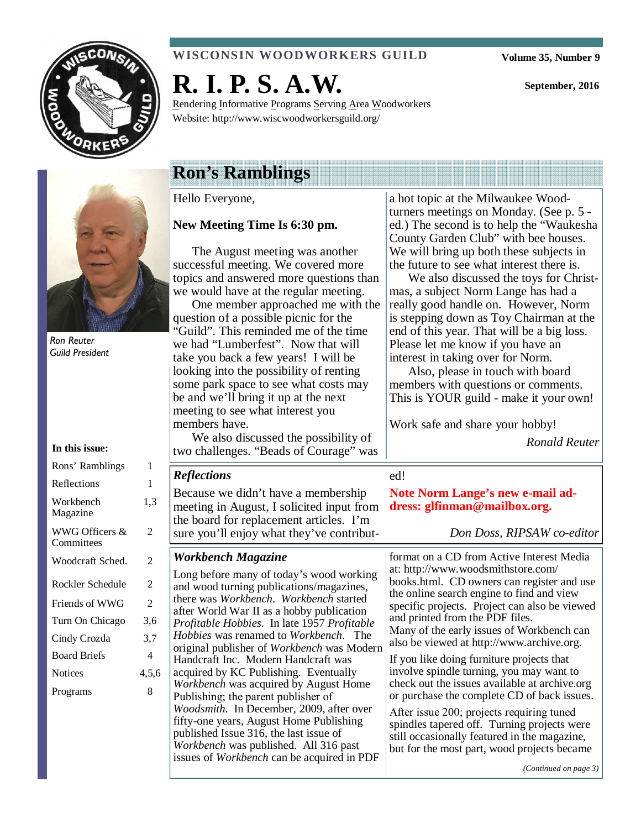

#### **WISCONSIN WOODWORKERS GUILD**

**Volume 35, Number 9** 

**September, 2016** 



Ron Reuter Guild President

#### **In this issue:**

| Rons' Ramblings              | 1     |
|------------------------------|-------|
| Reflections                  | 1     |
| Workbench<br>Magazine        | 1,3   |
| WWG Officers &<br>Committees | 2     |
| Woodcraft Sched.             | 2     |
| Rockler Schedule             | 2     |
| Friends of WWG               | 2     |
| Turn On Chicago              | 3.6   |
| Cindy Crozda                 | 3.7   |
| <b>Board Briefs</b>          | 4     |
| <b>Notices</b>               | 4,5,6 |
| Programs                     | 8     |
|                              |       |

# **R. I. P. S. A.W.**

Rendering Informative Programs Serving Area Woodworkers Website: http://www.wiscwoodworkersguild.org/

## **Ron's Ramblings**

Hello Everyone,

#### **New Meeting Time Is 6:30 pm.**

The August meeting was another successful meeting. We covered more topics and answered more questions than we would have at the regular meeting.

One member approached me with the question of a possible picnic for the "Guild". This reminded me of the time we had "Lumberfest". Now that will take you back a few years! I will be looking into the possibility of renting some park space to see what costs may be and we'll bring it up at the next meeting to see what interest you members have.

We also discussed the possibility of two challenges. "Beads of Courage" was

Because we didn't have a membership meeting in August, I solicited input from the board for replacement articles. I'm sure you'll enjoy what they've contribut-

Long before many of today's wood working and wood turning publications/magazines, there was *Workbench*. *Workbench* started after World War II as a hobby publication *Profitable Hobbies*. In late 1957 *Profitable Hobbies* was renamed to *Workbench*. The original publisher of *Workbench* was Modern Handcraft Inc. Modern Handcraft was acquired by KC Publishing. Eventually *Workbench* was acquired by August Home

Publishing; the parent publisher of

*Woodsmith*. In December, 2009, after over fifty-one years, August Home Publishing published Issue 316, the last issue of *Workbench* was published. All 316 past issues of *Workbench* can be acquired in PDF

*Workbench Magazine* 

*Reflections* 

a hot topic at the Milwaukee Woodturners meetings on Monday. (See p. 5 ed.) The second is to help the "Waukesha County Garden Club" with bee houses. We will bring up both these subjects in the future to see what interest there is.

We also discussed the toys for Christmas, a subject Norm Lange has had a really good handle on. However, Norm is stepping down as Toy Chairman at the end of this year. That will be a big loss. Please let me know if you have an interest in taking over for Norm.

Also, please in touch with board members with questions or comments. This is YOUR guild - make it your own!

Work safe and share your hobby!

*Ronald Reuter* 

#### ed!

**Note Norm Lange's new e-mail address: glfinman@mailbox.org.** 

*Don Doss, RIPSAW co-editor* 

format on a CD from Active Interest Media at: http://www.woodsmithstore.com/ books.html. CD owners can register and use the online search engine to find and view specific projects. Project can also be viewed and printed from the PDF files. Many of the early issues of Workbench can also be viewed at http://www.archive.org.

If you like doing furniture projects that involve spindle turning, you may want to check out the issues available at archive.org or purchase the complete CD of back issues.

After issue 200; projects requiring tuned spindles tapered off. Turning projects were still occasionally featured in the magazine, but for the most part, wood projects became

*(Continued on page 3)*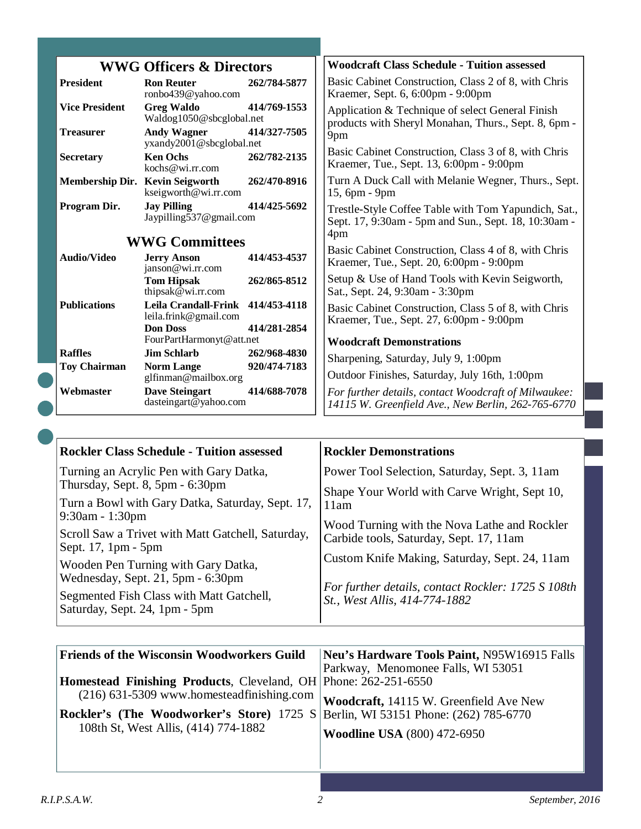|                                     |                                                                               |              | <b>Woodcraft Class Schedule - Tuition assessed</b>                                                           |
|-------------------------------------|-------------------------------------------------------------------------------|--------------|--------------------------------------------------------------------------------------------------------------|
| <b>WWG Officers &amp; Directors</b> |                                                                               |              |                                                                                                              |
| <b>President</b>                    | <b>Ron Reuter</b><br>ronbo439@yahoo.com                                       | 262/784-5877 | Basic Cabinet Construction, Class 2 of 8, with Chris<br>Kraemer, Sept. 6, 6:00pm - 9:00pm                    |
| <b>Vice President</b>               | <b>Greg Waldo</b><br>Waldog1050@sbcglobal.net                                 | 414/769-1553 | Application & Technique of select General Finish<br>products with Sheryl Monahan, Thurs., Sept. 8, 6pm -     |
| <b>Treasurer</b>                    | <b>Andy Wagner</b><br>yxandy2001@sbcglobal.net                                | 414/327-7505 | 9pm                                                                                                          |
| <b>Secretary</b>                    | <b>Ken Ochs</b><br>kochs@wi.rr.com                                            | 262/782-2135 | Basic Cabinet Construction, Class 3 of 8, with Chris<br>Kraemer, Tue., Sept. 13, 6:00pm - 9:00pm             |
| Membership Dir. Kevin Seigworth     | kseigworth@wi.rr.com                                                          | 262/470-8916 | Turn A Duck Call with Melanie Wegner, Thurs., Sept.<br>15, 6pm - 9pm                                         |
| Program Dir.                        | <b>Jay Pilling</b><br>Jaypilling537@gmail.com                                 | 414/425-5692 | Trestle-Style Coffee Table with Tom Yapundich, Sat.,<br>Sept. 17, 9:30am - 5pm and Sun., Sept. 18, 10:30am - |
| <b>WWG Committees</b>               |                                                                               |              | 4pm                                                                                                          |
| <b>Audio/Video</b>                  | <b>Jerry Anson</b><br>janson@wi.rr.com                                        | 414/453-4537 | Basic Cabinet Construction, Class 4 of 8, with Chris<br>Kraemer, Tue., Sept. 20, 6:00pm - 9:00pm             |
|                                     | <b>Tom Hipsak</b><br>thipsak@wi.rr.com                                        | 262/865-8512 | Setup & Use of Hand Tools with Kevin Seigworth,<br>Sat., Sept. 24, 9:30am - 3:30pm                           |
| <b>Publications</b>                 | Leila Crandall-Frink 414/453-4118<br>leila.frink@gmail.com<br><b>Don Doss</b> | 414/281-2854 | Basic Cabinet Construction, Class 5 of 8, with Chris<br>Kraemer, Tue., Sept. 27, 6:00pm - 9:00pm             |
|                                     | FourPartHarmonyt@att.net                                                      |              | <b>Woodcraft Demonstrations</b>                                                                              |
| <b>Raffles</b>                      | Jim Schlarb                                                                   | 262/968-4830 | Sharpening, Saturday, July 9, 1:00pm                                                                         |
| <b>Toy Chairman</b>                 | <b>Norm Lange</b><br>glfinman@mailbox.org                                     | 920/474-7183 | Outdoor Finishes, Saturday, July 16th, 1:00pm                                                                |
| Webmaster                           | <b>Dave Steingart</b><br>dasteingart@yahoo.com                                | 414/688-7078 | For further details, contact Woodcraft of Milwaukee:<br>14115 W. Greenfield Ave., New Berlin, 262-765-6770   |

| <b>Rockler Class Schedule - Tuition assessed</b>                                               | <b>Rockler Demonstrations</b>                                                           |
|------------------------------------------------------------------------------------------------|-----------------------------------------------------------------------------------------|
| Turning an Acrylic Pen with Gary Datka,<br>Thursday, Sept. 8, 5pm - 6:30pm                     | Power Tool Selection, Saturday, Sept. 3, 11am                                           |
| Turn a Bowl with Gary Datka, Saturday, Sept. 17,                                               | Shape Your World with Carve Wright, Sept 10,<br>11am                                    |
| $9:30$ am - 1:30pm<br>Scroll Saw a Trivet with Matt Gatchell, Saturday,<br>Sept. 17, 1pm - 5pm | Wood Turning with the Nova Lathe and Rockler<br>Carbide tools, Saturday, Sept. 17, 11am |
| Wooden Pen Turning with Gary Datka,<br>Wednesday, Sept. 21, 5pm - 6:30pm                       | Custom Knife Making, Saturday, Sept. 24, 11am                                           |
| Segmented Fish Class with Matt Gatchell,<br>Saturday, Sept. 24, 1pm - 5pm                      | For further details, contact Rockler: 1725 S 108th<br>St., West Allis, 414-774-1882     |

| <b>Friends of the Wisconsin Woodworkers Guild</b>                                       | Neu's Hardware Tools Paint, N95W16915 Falls |
|-----------------------------------------------------------------------------------------|---------------------------------------------|
|                                                                                         | Parkway, Menomonee Falls, WI 53051          |
| <b>Homestead Finishing Products, Cleveland, OH Phone: 262-251-6550</b>                  |                                             |
| $(216)$ 631-5309 www.homesteadfinishing.com                                             | Woodcraft, 14115 W. Greenfield Ave New      |
| <b>Rockler's (The Woodworker's Store)</b> 1725 S Berlin, WI 53151 Phone: (262) 785-6770 |                                             |
| 108th St, West Allis, (414) 774-1882                                                    | <b>Woodline USA</b> (800) 472-6950          |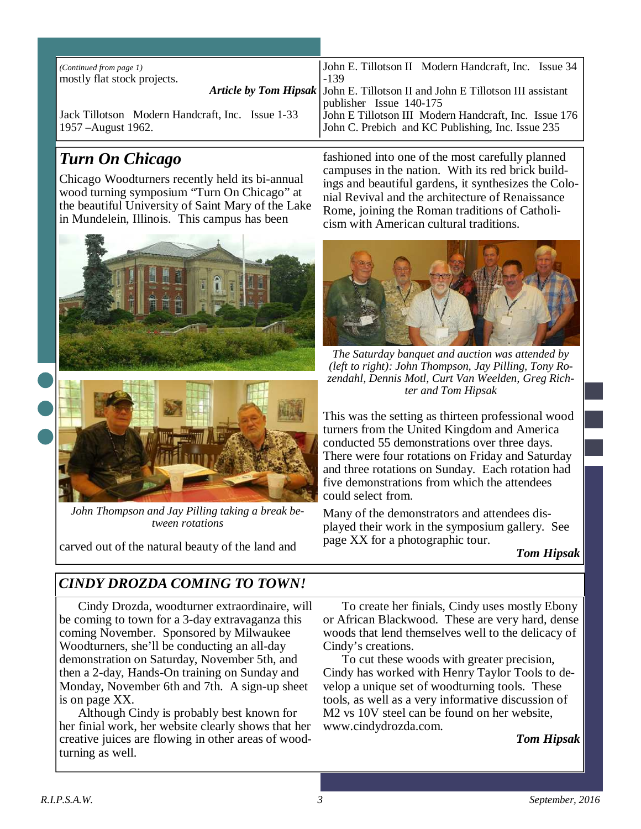| (Continued from page 1)<br>mostly flat stock projects.                  | John E. Tillotson II Modern Handcraft, Inc. Issue 34<br>$-139$                                                                        |
|-------------------------------------------------------------------------|---------------------------------------------------------------------------------------------------------------------------------------|
|                                                                         | Article by Tom Hipsak   John E. Tillotson II and John E Tillotson III assistant                                                       |
| Jack Tillotson Modern Handcraft, Inc. Issue 1-33<br>1957 – August 1962. | publisher Issue 140-175<br>John E Tillotson III Modern Handcraft, Inc. Issue 176<br>John C. Prebich and KC Publishing, Inc. Issue 235 |

### *Turn On Chicago*

Chicago Woodturners recently held its bi-annual wood turning symposium "Turn On Chicago" at the beautiful University of Saint Mary of the Lake in Mundelein, Illinois. This campus has been





*John Thompson and Jay Pilling taking a break between rotations* 

carved out of the natural beauty of the land and

fashioned into one of the most carefully planned campuses in the nation. With its red brick buildings and beautiful gardens, it synthesizes the Colonial Revival and the architecture of Renaissance Rome, joining the Roman traditions of Catholicism with American cultural traditions.



*The Saturday banquet and auction was attended by (left to right): John Thompson, Jay Pilling, Tony Rozendahl, Dennis Motl, Curt Van Weelden, Greg Richter and Tom Hipsak* 

This was the setting as thirteen professional wood turners from the United Kingdom and America conducted 55 demonstrations over three days. There were four rotations on Friday and Saturday and three rotations on Sunday. Each rotation had five demonstrations from which the attendees could select from.

Many of the demonstrators and attendees displayed their work in the symposium gallery. See page XX for a photographic tour.

*Tom Hipsak* 

### *CINDY DROZDA COMING TO TOWN!*

Cindy Drozda, woodturner extraordinaire, will be coming to town for a 3-day extravaganza this coming November. Sponsored by Milwaukee Woodturners, she'll be conducting an all-day demonstration on Saturday, November 5th, and then a 2-day, Hands-On training on Sunday and Monday, November 6th and 7th. A sign-up sheet is on page XX.

Although Cindy is probably best known for her finial work, her website clearly shows that her creative juices are flowing in other areas of woodturning as well.

To create her finials, Cindy uses mostly Ebony or African Blackwood. These are very hard, dense woods that lend themselves well to the delicacy of Cindy's creations.

To cut these woods with greater precision, Cindy has worked with Henry Taylor Tools to develop a unique set of woodturning tools. These tools, as well as a very informative discussion of M2 vs 10V steel can be found on her website, www.cindydrozda.com.

#### *Tom Hipsak*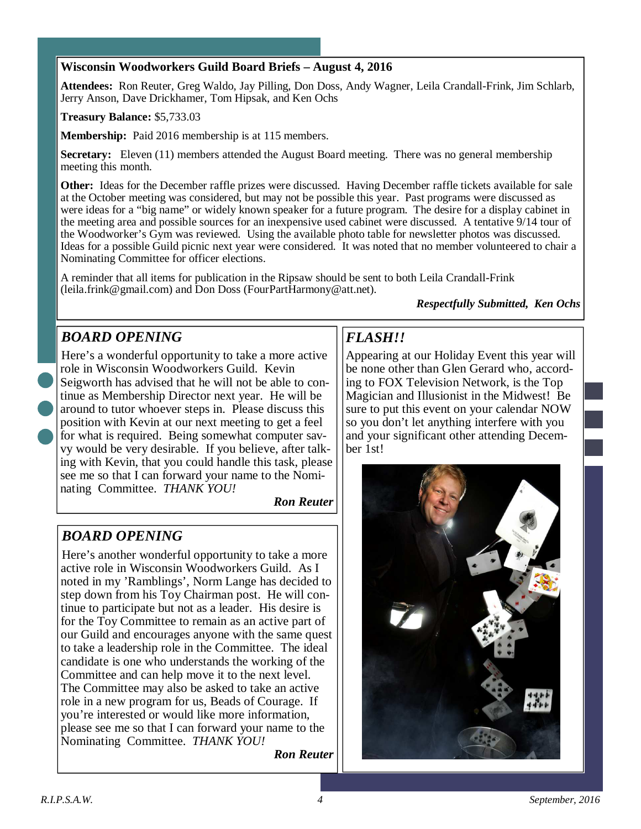#### **Wisconsin Woodworkers Guild Board Briefs – August 4, 2016**

**Attendees:** Ron Reuter, Greg Waldo, Jay Pilling, Don Doss, Andy Wagner, Leila Crandall-Frink, Jim Schlarb, Jerry Anson, Dave Drickhamer, Tom Hipsak, and Ken Ochs

#### **Treasury Balance:** \$5,733.03

**Membership:** Paid 2016 membership is at 115 members.

**Secretary:** Eleven (11) members attended the August Board meeting. There was no general membership meeting this month.

**Other:** Ideas for the December raffle prizes were discussed. Having December raffle tickets available for sale at the October meeting was considered, but may not be possible this year. Past programs were discussed as were ideas for a "big name" or widely known speaker for a future program. The desire for a display cabinet in the meeting area and possible sources for an inexpensive used cabinet were discussed. A tentative 9/14 tour of the Woodworker's Gym was reviewed. Using the available photo table for newsletter photos was discussed. Ideas for a possible Guild picnic next year were considered. It was noted that no member volunteered to chair a Nominating Committee for officer elections.

A reminder that all items for publication in the Ripsaw should be sent to both Leila Crandall-Frink (leila.frink@gmail.com) and Don Doss (FourPartHarmony@att.net).

#### *Respectfully Submitted, Ken Ochs*

#### *BOARD OPENING*

Here's a wonderful opportunity to take a more active role in Wisconsin Woodworkers Guild. Kevin Seigworth has advised that he will not be able to continue as Membership Director next year. He will be around to tutor whoever steps in. Please discuss this position with Kevin at our next meeting to get a feel for what is required. Being somewhat computer savvy would be very desirable. If you believe, after talking with Kevin, that you could handle this task, please see me so that I can forward your name to the Nominating Committee. *THANK YOU!* 

*Ron Reuter*

### *BOARD OPENING*

Here's another wonderful opportunity to take a more active role in Wisconsin Woodworkers Guild. As I noted in my 'Ramblings', Norm Lange has decided to step down from his Toy Chairman post. He will continue to participate but not as a leader. His desire is for the Toy Committee to remain as an active part of our Guild and encourages anyone with the same quest to take a leadership role in the Committee. The ideal candidate is one who understands the working of the Committee and can help move it to the next level. The Committee may also be asked to take an active role in a new program for us, Beads of Courage. If you're interested or would like more information, please see me so that I can forward your name to the Nominating Committee. *THANK YOU!* 

*Ron Reuter*

### *FLASH!!*

Appearing at our Holiday Event this year will be none other than Glen Gerard who, according to FOX Television Network, is the Top Magician and Illusionist in the Midwest! Be sure to put this event on your calendar NOW so you don't let anything interfere with you and your significant other attending December 1st!

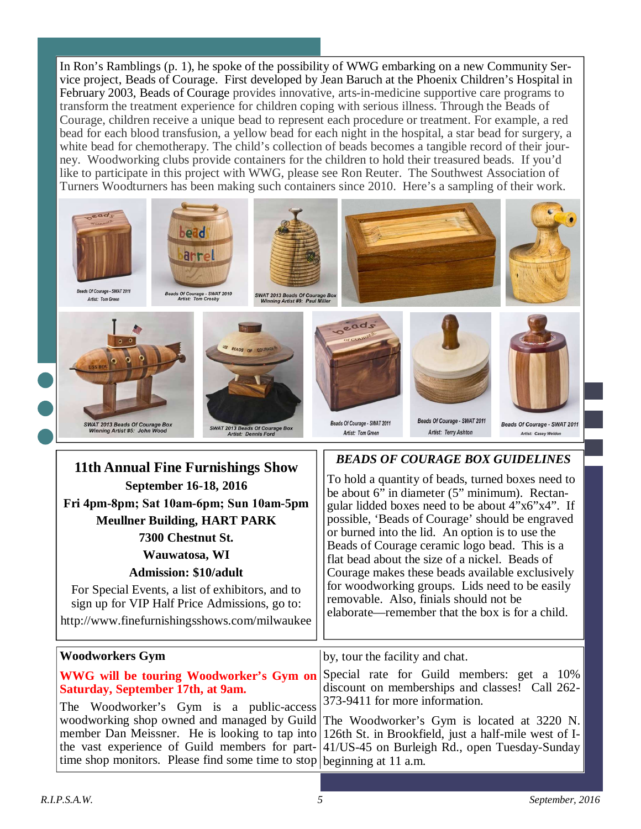In Ron's Ramblings (p. 1), he spoke of the possibility of WWG embarking on a new Community Service project, Beads of Courage. First developed by Jean Baruch at the Phoenix Children's Hospital in February 2003, Beads of Courage provides innovative, arts-in-medicine supportive care programs to transform the treatment experience for children coping with serious illness. Through the Beads of Courage, children receive a unique bead to represent each procedure or treatment. For example, a red bead for each blood transfusion, a yellow bead for each night in the hospital, a star bead for surgery, a white bead for chemotherapy. The child's collection of beads becomes a tangible record of their journey. Woodworking clubs provide containers for the children to hold their treasured beads. If you'd like to participate in this project with WWG, please see Ron Reuter. The Southwest Association of Turners Woodturners has been making such containers since 2010. Here's a sampling of their work.



The Woodworker's Gym is a public-access woodworking shop owned and managed by Guild member Dan Meissner. He is looking to tap into the vast experience of Guild members for parttime shop monitors. Please find some time to stop beginning at 11 a.m. The Woodworker's Gym is located at 3220 N. 126th St. in Brookfield, just a half-mile west of I-41/US-45 on Burleigh Rd., open Tuesday-Sunday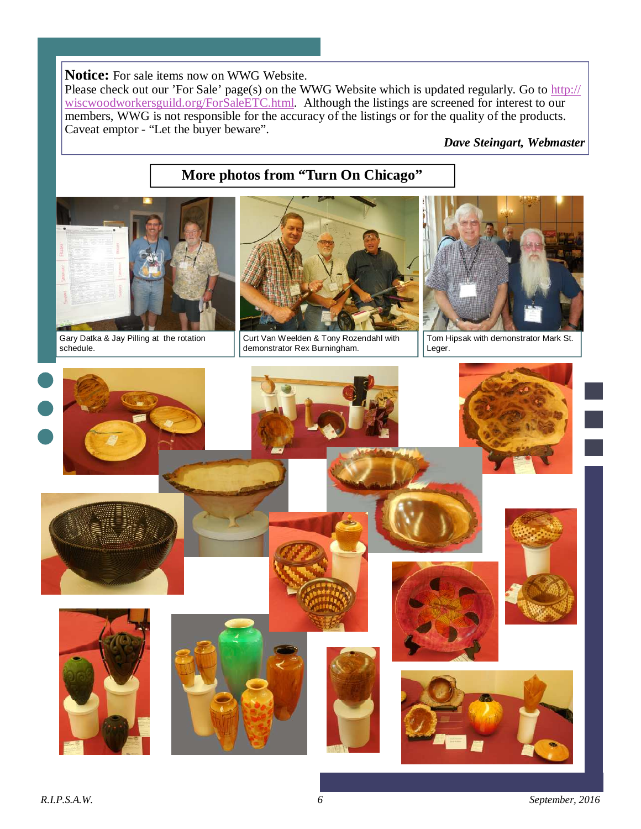**Notice:** For sale items now on WWG Website.

Please check out our 'For Sale' page(s) on the WWG Website which is updated regularly. Go to http:// wiscwoodworkersguild.org/ForSaleETC.html. Although the listings are screened for interest to our members, WWG is not responsible for the accuracy of the listings or for the quality of the products. Caveat emptor - "Let the buyer beware".

*Dave Steingart, Webmaster* 

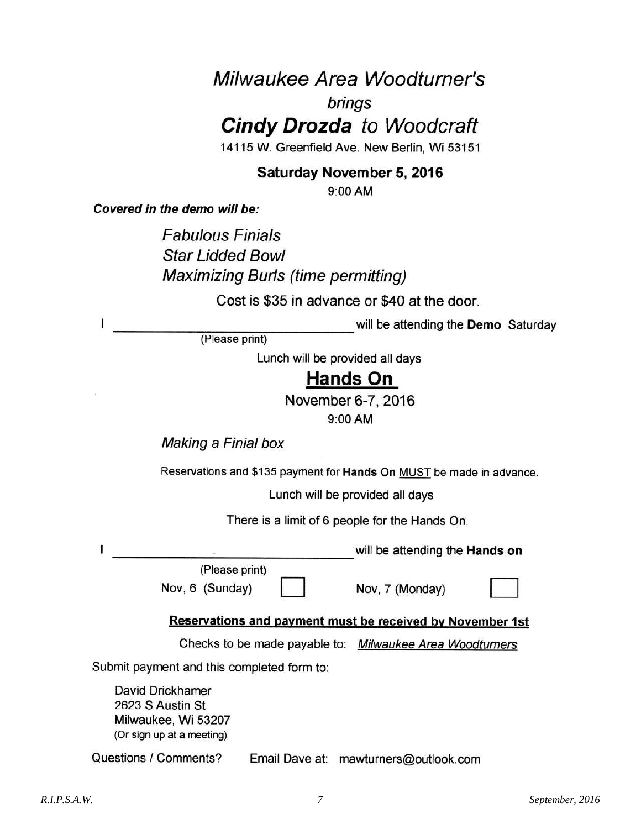# Milwaukee Area Woodturner's

### brings

**Cindy Drozda** to Woodcraft

14115 W. Greenfield Ave. New Berlin, Wi 53151

### Saturday November 5, 2016

9:00 AM

Covered in the demo will be:

L

ł

**Fabulous Finials Star Lidded Bowl Maximizing Burls (time permitting)** 

Cost is \$35 in advance or \$40 at the door.

will be attending the Demo Saturday

(Please print)

Lunch will be provided all days

### **Hands On**

November 6-7, 2016

9:00 AM

Making a Finial box

Reservations and \$135 payment for Hands On MUST be made in advance.

Lunch will be provided all days

There is a limit of 6 people for the Hands On.

will be attending the Hands on

(Please print) Nov, 6 (Sunday)

Nov, 7 (Monday)

Reservations and payment must be received by November 1st

Checks to be made payable to: Milwaukee Area Woodturners

Submit payment and this completed form to:

David Drickhamer 2623 S Austin St Milwaukee, Wi 53207 (Or sign up at a meeting)

Questions / Comments? Email Dave at: mawturners@outlook.com